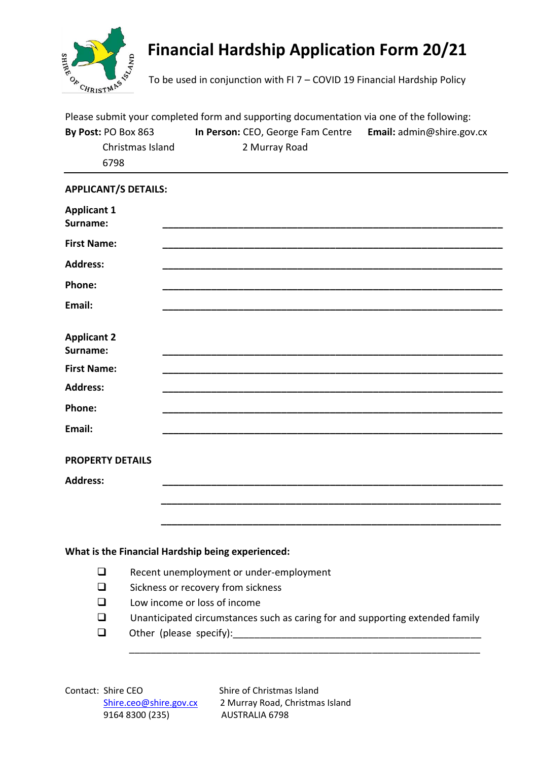

## **Financial Hardship Application Form 20/21**

To be used in conjunction with FI 7 – COVID 19 Financial Hardship Policy

| Please submit your completed form and supporting documentation via one of the following: |                                   |                                          |  |
|------------------------------------------------------------------------------------------|-----------------------------------|------------------------------------------|--|
| By Post: PO Box 863                                                                      | In Person: CEO, George Fam Centre | <b>Email:</b> $\alpha$ dmin@shire.gov.cx |  |
| Christmas Island                                                                         | 2 Murray Road                     |                                          |  |
| 6798                                                                                     |                                   |                                          |  |

## **APPLICANT/S DETAILS:**

| <b>Applicant 1</b><br>Surname: |                                                                               |  |
|--------------------------------|-------------------------------------------------------------------------------|--|
| <b>First Name:</b>             |                                                                               |  |
| <b>Address:</b>                |                                                                               |  |
| Phone:                         |                                                                               |  |
| Email:                         |                                                                               |  |
| <b>Applicant 2</b><br>Surname: |                                                                               |  |
| <b>First Name:</b>             |                                                                               |  |
| <b>Address:</b>                |                                                                               |  |
| Phone:                         |                                                                               |  |
| Email:                         |                                                                               |  |
| <b>PROPERTY DETAILS</b>        |                                                                               |  |
| <b>Address:</b>                |                                                                               |  |
|                                |                                                                               |  |
|                                |                                                                               |  |
|                                |                                                                               |  |
|                                | What is the Financial Hardship being experienced:                             |  |
| $\Box$                         | Recent unemployment or under-employment                                       |  |
| $\Box$                         | Sickness or recovery from sickness                                            |  |
| □                              | Low income or loss of income                                                  |  |
| ◻                              | Unanticipated circumstances such as caring for and supporting extended family |  |
| $\Box$                         | Other (please specify):                                                       |  |

\_\_\_\_\_\_\_\_\_\_\_\_\_\_\_\_\_\_\_\_\_\_\_\_\_\_\_\_\_\_\_\_\_\_\_\_\_\_\_\_\_\_\_\_\_\_\_\_\_\_\_\_\_\_\_\_\_\_\_\_\_\_\_\_\_